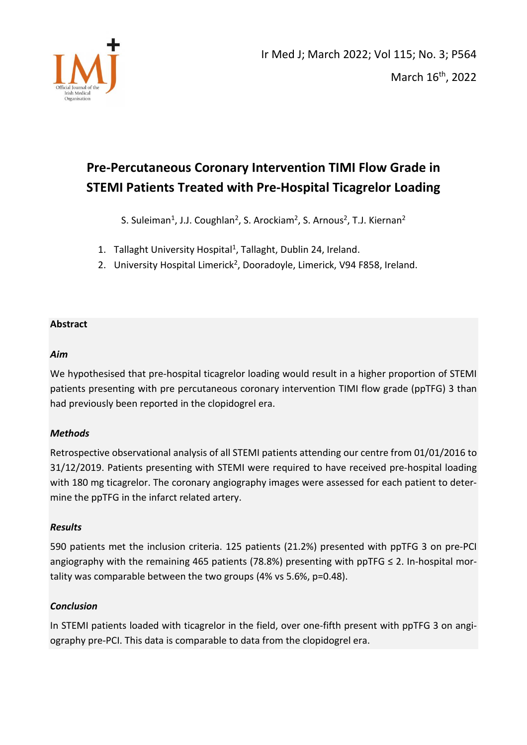

# **Pre-Percutaneous Coronary Intervention TIMI Flow Grade in STEMI Patients Treated with Pre-Hospital Ticagrelor Loading**

S. Suleiman<sup>1</sup>, J.J. Coughlan<sup>2</sup>, S. Arockiam<sup>2</sup>, S. Arnous<sup>2</sup>, T.J. Kiernan<sup>2</sup>

- 1. Tallaght University Hospital<sup>1</sup>, Tallaght, Dublin 24, Ireland.
- 2. University Hospital Limerick<sup>2</sup>, Dooradoyle, Limerick, V94 F858, Ireland.

# **Abstract**

# *Aim*

We hypothesised that pre-hospital ticagrelor loading would result in a higher proportion of STEMI patients presenting with pre percutaneous coronary intervention TIMI flow grade (ppTFG) 3 than had previously been reported in the clopidogrel era.

# *Methods*

Retrospective observational analysis of all STEMI patients attending our centre from 01/01/2016 to 31/12/2019. Patients presenting with STEMI were required to have received pre-hospital loading with 180 mg ticagrelor. The coronary angiography images were assessed for each patient to determine the ppTFG in the infarct related artery.

# *Results*

590 patients met the inclusion criteria. 125 patients (21.2%) presented with ppTFG 3 on pre-PCI angiography with the remaining 465 patients (78.8%) presenting with ppTFG  $\leq$  2. In-hospital mortality was comparable between the two groups (4% vs 5.6%, p=0.48).

# *Conclusion*

In STEMI patients loaded with ticagrelor in the field, over one-fifth present with ppTFG 3 on angiography pre-PCI. This data is comparable to data from the clopidogrel era.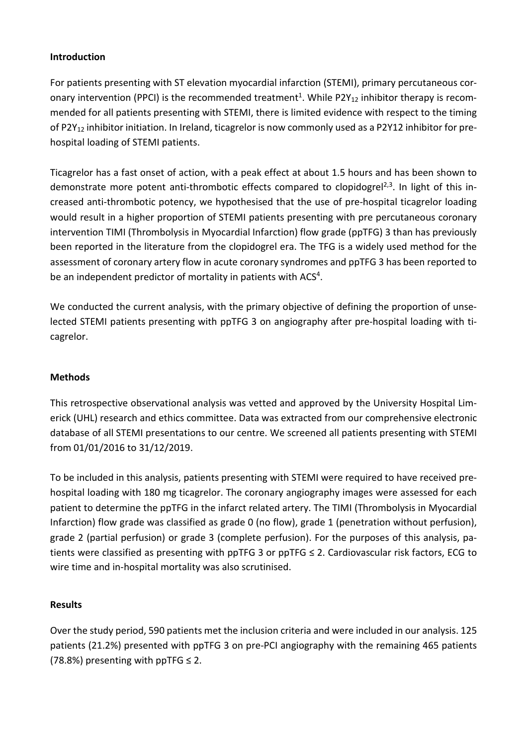# **Introduction**

For patients presenting with ST elevation myocardial infarction (STEMI), primary percutaneous coronary intervention (PPCI) is the recommended treatment<sup>1</sup>. While P2Y<sub>12</sub> inhibitor therapy is recommended for all patients presenting with STEMI, there is limited evidence with respect to the timing of P2Y<sub>12</sub> inhibitor initiation. In Ireland, ticagrelor is now commonly used as a P2Y12 inhibitor for prehospital loading of STEMI patients.

Ticagrelor has a fast onset of action, with a peak effect at about 1.5 hours and has been shown to demonstrate more potent anti-thrombotic effects compared to clopidogrel<sup>2,3</sup>. In light of this increased anti-thrombotic potency, we hypothesised that the use of pre-hospital ticagrelor loading would result in a higher proportion of STEMI patients presenting with pre percutaneous coronary intervention TIMI (Thrombolysis in Myocardial Infarction) flow grade (ppTFG) 3 than has previously been reported in the literature from the clopidogrel era. The TFG is a widely used method for the assessment of coronary artery flow in acute coronary syndromes and ppTFG 3 has been reported to be an independent predictor of mortality in patients with ACS<sup>4</sup>.

We conducted the current analysis, with the primary objective of defining the proportion of unselected STEMI patients presenting with ppTFG 3 on angiography after pre-hospital loading with ticagrelor.

# **Methods**

This retrospective observational analysis was vetted and approved by the University Hospital Limerick (UHL) research and ethics committee. Data was extracted from our comprehensive electronic database of all STEMI presentations to our centre. We screened all patients presenting with STEMI from 01/01/2016 to 31/12/2019.

To be included in this analysis, patients presenting with STEMI were required to have received prehospital loading with 180 mg ticagrelor. The coronary angiography images were assessed for each patient to determine the ppTFG in the infarct related artery. The TIMI (Thrombolysis in Myocardial Infarction) flow grade was classified as grade 0 (no flow), grade 1 (penetration without perfusion), grade 2 (partial perfusion) or grade 3 (complete perfusion). For the purposes of this analysis, patients were classified as presenting with ppTFG 3 or ppTFG ≤ 2. Cardiovascular risk factors, ECG to wire time and in-hospital mortality was also scrutinised.

# **Results**

Over the study period, 590 patients met the inclusion criteria and were included in our analysis. 125 patients (21.2%) presented with ppTFG 3 on pre-PCI angiography with the remaining 465 patients (78.8%) presenting with ppTFG  $\leq$  2.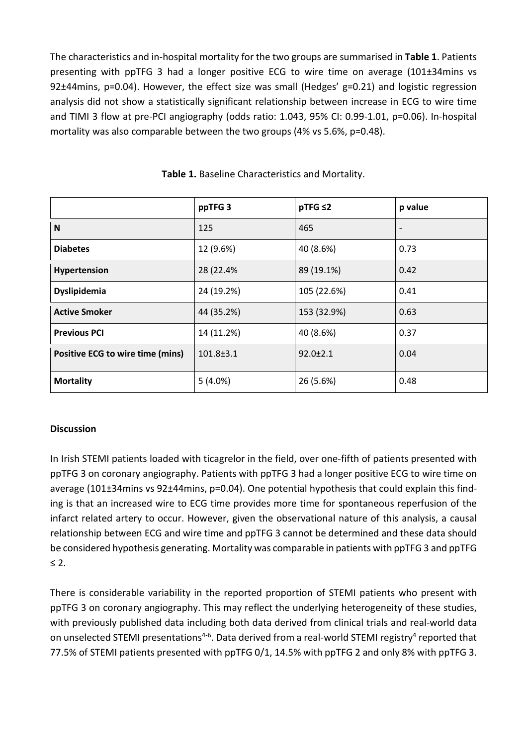The characteristics and in-hospital mortality for the two groups are summarised in **Table 1**. Patients presenting with ppTFG 3 had a longer positive ECG to wire time on average (101±34mins vs 92±44mins, p=0.04). However, the effect size was small (Hedges' g=0.21) and logistic regression analysis did not show a statistically significant relationship between increase in ECG to wire time and TIMI 3 flow at pre-PCI angiography (odds ratio: 1.043, 95% CI: 0.99-1.01, p=0.06). In-hospital mortality was also comparable between the two groups (4% vs 5.6%, p=0.48).

|                                         | ppTFG <sub>3</sub> | $pTFG \leq 2$  | p value                  |
|-----------------------------------------|--------------------|----------------|--------------------------|
| N                                       | 125                | 465            | $\overline{\phantom{a}}$ |
| <b>Diabetes</b>                         | 12 (9.6%)          | 40 (8.6%)      | 0.73                     |
| Hypertension                            | 28 (22.4%          | 89 (19.1%)     | 0.42                     |
| Dyslipidemia                            | 24 (19.2%)         | 105 (22.6%)    | 0.41                     |
| <b>Active Smoker</b>                    | 44 (35.2%)         | 153 (32.9%)    | 0.63                     |
| <b>Previous PCI</b>                     | 14 (11.2%)         | 40 (8.6%)      | 0.37                     |
| <b>Positive ECG to wire time (mins)</b> | $101.8 \pm 3.1$    | $92.0 \pm 2.1$ | 0.04                     |
| <b>Mortality</b>                        | $5(4.0\%)$         | 26 (5.6%)      | 0.48                     |

**Table 1.** Baseline Characteristics and Mortality.

# **Discussion**

In Irish STEMI patients loaded with ticagrelor in the field, over one-fifth of patients presented with ppTFG 3 on coronary angiography. Patients with ppTFG 3 had a longer positive ECG to wire time on average (101±34mins vs 92±44mins, p=0.04). One potential hypothesis that could explain this finding is that an increased wire to ECG time provides more time for spontaneous reperfusion of the infarct related artery to occur. However, given the observational nature of this analysis, a causal relationship between ECG and wire time and ppTFG 3 cannot be determined and these data should be considered hypothesis generating. Mortality was comparable in patients with ppTFG 3 and ppTFG ≤ 2.

There is considerable variability in the reported proportion of STEMI patients who present with ppTFG 3 on coronary angiography. This may reflect the underlying heterogeneity of these studies, with previously published data including both data derived from clinical trials and real-world data on unselected STEMI presentations<sup>4-6</sup>. Data derived from a real-world STEMI registry<sup>4</sup> reported that 77.5% of STEMI patients presented with ppTFG 0/1, 14.5% with ppTFG 2 and only 8% with ppTFG 3.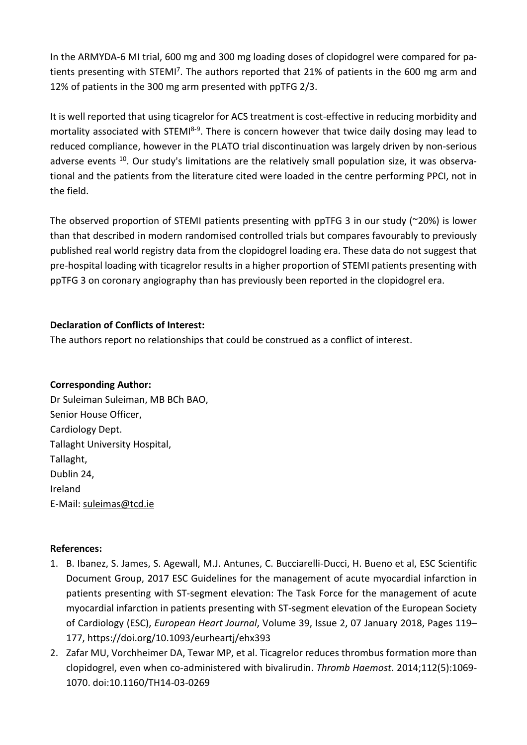In the ARMYDA-6 MI trial, 600 mg and 300 mg loading doses of clopidogrel were compared for patients presenting with STEMI<sup>7</sup>. The authors reported that 21% of patients in the 600 mg arm and 12% of patients in the 300 mg arm presented with ppTFG 2/3.

It is well reported that using ticagrelor for ACS treatment is cost-effective in reducing morbidity and mortality associated with STEMI<sup>8-9</sup>. There is concern however that twice daily dosing may lead to reduced compliance, however in the PLATO trial discontinuation was largely driven by non-serious adverse events <sup>10</sup>. Our study's limitations are the relatively small population size, it was observational and the patients from the literature cited were loaded in the centre performing PPCI, not in the field.

The observed proportion of STEMI patients presenting with ppTFG 3 in our study (~20%) is lower than that described in modern randomised controlled trials but compares favourably to previously published real world registry data from the clopidogrel loading era. These data do not suggest that pre-hospital loading with ticagrelor results in a higher proportion of STEMI patients presenting with ppTFG 3 on coronary angiography than has previously been reported in the clopidogrel era.

# **Declaration of Conflicts of Interest:**

The authors report no relationships that could be construed as a conflict of interest.

# **Corresponding Author:**

Dr Suleiman Suleiman, MB BCh BAO, Senior House Officer, Cardiology Dept. Tallaght University Hospital, Tallaght, Dublin 24, Ireland E-Mail[: suleimas@tcd.ie](mailto:suleimas@tcd.ie) 

# **References:**

- 1. B. Ibanez, S. James, S. Agewall, M.J. Antunes, C. Bucciarelli-Ducci, H. Bueno et al, ESC Scientific Document Group, 2017 ESC Guidelines for the management of acute myocardial infarction in patients presenting with ST-segment elevation: The Task Force for the management of acute myocardial infarction in patients presenting with ST-segment elevation of the European Society of Cardiology (ESC), *European Heart Journal*, Volume 39, Issue 2, 07 January 2018, Pages 119– 177[, https://doi.org/10.1093/eurheartj/ehx393](https://doi.org/10.1093/eurheartj/ehx393)
- 2. Zafar MU, Vorchheimer DA, Tewar MP, et al. Ticagrelor reduces thrombus formation more than clopidogrel, even when co-administered with bivalirudin. *Thromb Haemost*. 2014;112(5):1069- 1070. doi:10.1160/TH14-03-0269